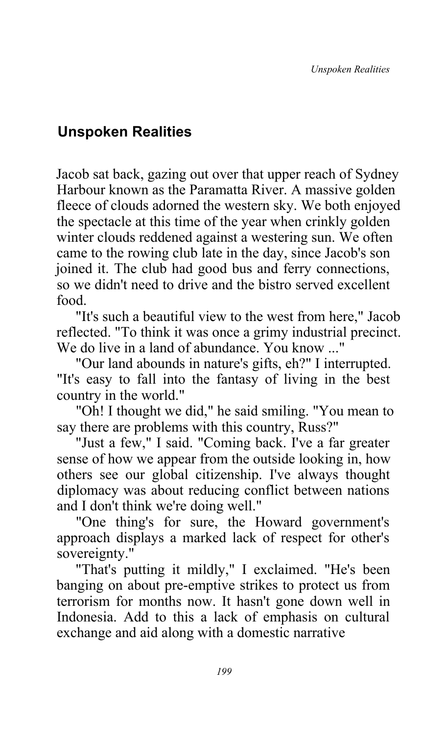## **Unspoken Realities**

Jacob sat back, gazing out over that upper reach of Sydney Harbour known as the Paramatta River. A massive golden fleece of clouds adorned the western sky. We both enjoyed the spectacle at this time of the year when crinkly golden winter clouds reddened against a westering sun. We often came to the rowing club late in the day, since Jacob's son joined it. The club had good bus and ferry connections, so we didn't need to drive and the bistro served excellent food.

"It's such a beautiful view to the west from here," Jacob reflected. "To think it was once a grimy industrial precinct. We do live in a land of abundance. You know ..."

"Our land abounds in nature's gifts, eh?" I interrupted. "It's easy to fall into the fantasy of living in the best country in the world."

"Oh! I thought we did," he said smiling. "You mean to say there are problems with this country, Russ?"

"Just a few," I said. "Coming back. I've a far greater sense of how we appear from the outside looking in, how others see our global citizenship. I've always thought diplomacy was about reducing conflict between nations and I don't think we're doing well."

"One thing's for sure, the Howard government's approach displays a marked lack of respect for other's sovereignty."

"That's putting it mildly," I exclaimed. "He's been banging on about pre-emptive strikes to protect us from terrorism for months now. It hasn't gone down well in Indonesia. Add to this a lack of emphasis on cultural exchange and aid along with a domestic narrative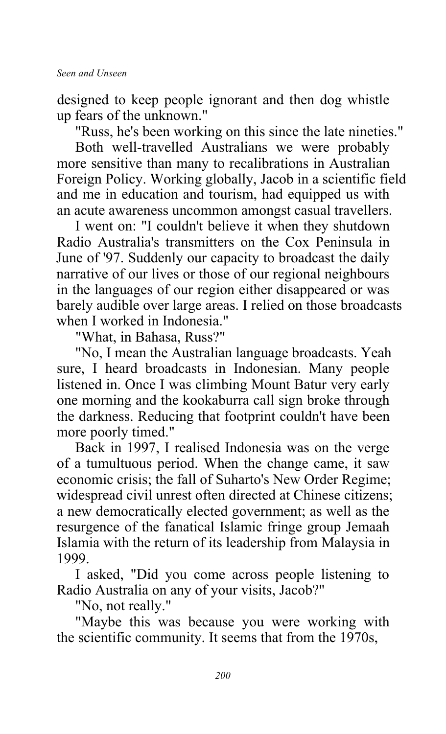designed to keep people ignorant and then dog whistle up fears of the unknown."

"Russ, he's been working on this since the late nineties."

Both well-travelled Australians we were probably more sensitive than many to recalibrations in Australian Foreign Policy. Working globally, Jacob in a scientific field and me in education and tourism, had equipped us with an acute awareness uncommon amongst casual travellers.

I went on: "I couldn't believe it when they shutdown Radio Australia's transmitters on the Cox Peninsula in June of '97. Suddenly our capacity to broadcast the daily narrative of our lives or those of our regional neighbours in the languages of our region either disappeared or was barely audible over large areas. I relied on those broadcasts when I worked in Indonesia."

"What, in Bahasa, Russ?"

"No, I mean the Australian language broadcasts. Yeah sure, I heard broadcasts in Indonesian. Many people listened in. Once I was climbing Mount Batur very early one morning and the kookaburra call sign broke through the darkness. Reducing that footprint couldn't have been more poorly timed."

Back in 1997, I realised Indonesia was on the verge of a tumultuous period. When the change came, it saw economic crisis; the fall of Suharto's New Order Regime; widespread civil unrest often directed at Chinese citizens; a new democratically elected government; as well as the resurgence of the fanatical Islamic fringe group Jemaah Islamia with the return of its leadership from Malaysia in 1999.

I asked, "Did you come across people listening to Radio Australia on any of your visits, Jacob?"

"No, not really."

"Maybe this was because you were working with the scientific community. It seems that from the 1970s,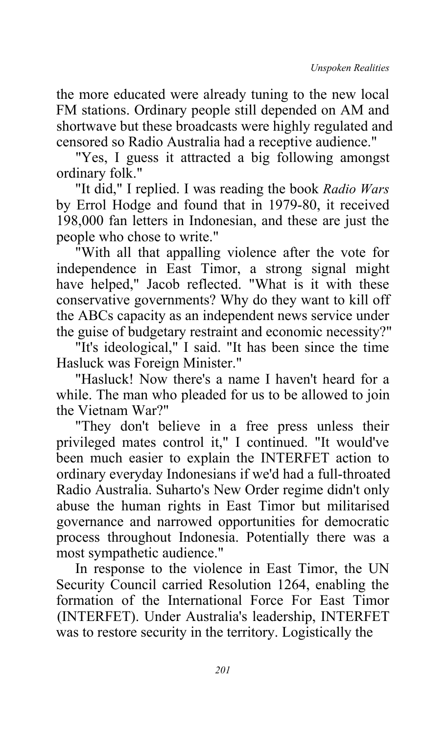the more educated were already tuning to the new local FM stations. Ordinary people still depended on AM and shortwave but these broadcasts were highly regulated and censored so Radio Australia had a receptive audience."

"Yes, I guess it attracted a big following amongst ordinary folk."

"It did," I replied. I was reading the book *Radio Wars* by Errol Hodge and found that in 1979-80, it received 198,000 fan letters in Indonesian, and these are just the people who chose to write."

"With all that appalling violence after the vote for independence in East Timor, a strong signal might have helped," Jacob reflected. "What is it with these conservative governments? Why do they want to kill off the ABCs capacity as an independent news service under the guise of budgetary restraint and economic necessity?"

"It's ideological," I said. "It has been since the time Hasluck was Foreign Minister."

"Hasluck! Now there's a name I haven't heard for a while. The man who pleaded for us to be allowed to join the Vietnam War?"

"They don't believe in a free press unless their privileged mates control it," I continued. "It would've been much easier to explain the INTERFET action to ordinary everyday Indonesians if we'd had a full-throated Radio Australia. Suharto's New Order regime didn't only abuse the human rights in East Timor but militarised governance and narrowed opportunities for democratic process throughout Indonesia. Potentially there was a most sympathetic audience."

In response to the violence in East Timor, the UN Security Council carried Resolution 1264, enabling the formation of the International Force For East Timor (INTERFET). Under Australia's leadership, INTERFET was to restore security in the territory. Logistically the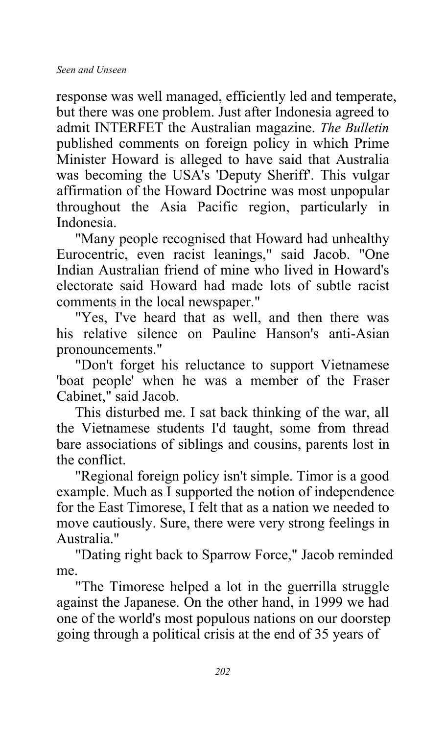response was well managed, efficiently led and temperate, but there was one problem. Just after Indonesia agreed to admit INTERFET the Australian magazine. *The Bulletin* published comments on foreign policy in which Prime Minister Howard is alleged to have said that Australia was becoming the USA's 'Deputy Sheriff'. This vulgar affirmation of the Howard Doctrine was most unpopular throughout the Asia Pacific region, particularly in Indonesia.

"Many people recognised that Howard had unhealthy Eurocentric, even racist leanings," said Jacob. "One Indian Australian friend of mine who lived in Howard's electorate said Howard had made lots of subtle racist comments in the local newspaper."

"Yes, I've heard that as well, and then there was his relative silence on Pauline Hanson's anti-Asian pronouncements."

"Don't forget his reluctance to support Vietnamese 'boat people' when he was a member of the Fraser Cabinet," said Jacob.

This disturbed me. I sat back thinking of the war, all the Vietnamese students I'd taught, some from thread bare associations of siblings and cousins, parents lost in the conflict.

"Regional foreign policy isn't simple. Timor is a good example. Much as I supported the notion of independence for the East Timorese, I felt that as a nation we needed to move cautiously. Sure, there were very strong feelings in Australia."

"Dating right back to Sparrow Force," Jacob reminded me.

"The Timorese helped a lot in the guerrilla struggle against the Japanese. On the other hand, in 1999 we had one of the world's most populous nations on our doorstep going through a political crisis at the end of 35 years of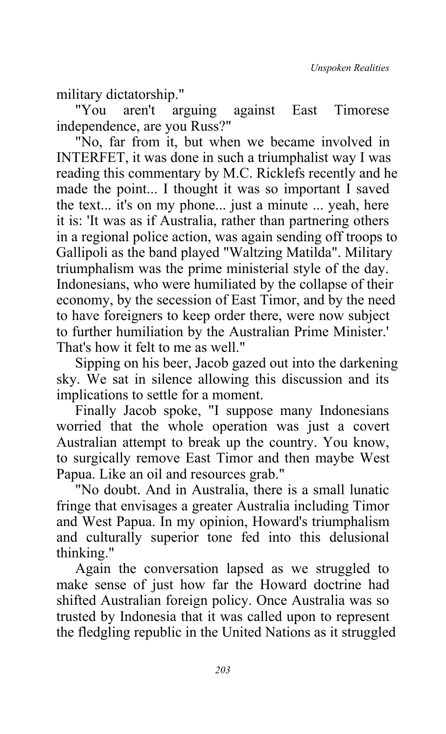military dictatorship."

"You aren't arguing against East Timorese independence, are you Russ?"

"No, far from it, but when we became involved in INTERFET, it was done in such a triumphalist way I was reading this commentary by M.C. Ricklefs recently and he made the point... I thought it was so important I saved the text... it's on my phone... just a minute ... yeah, here it is: 'It was as if Australia, rather than partnering others in a regional police action, was again sending off troops to Gallipoli as the band played "Waltzing Matilda". Military triumphalism was the prime ministerial style of the day. Indonesians, who were humiliated by the collapse of their economy, by the secession of East Timor, and by the need to have foreigners to keep order there, were now subject to further humiliation by the Australian Prime Minister.' That's how it felt to me as well."

Sipping on his beer, Jacob gazed out into the darkening sky. We sat in silence allowing this discussion and its implications to settle for a moment.

Finally Jacob spoke, "I suppose many Indonesians worried that the whole operation was just a covert Australian attempt to break up the country. You know, to surgically remove East Timor and then maybe West Papua. Like an oil and resources grab."

"No doubt. And in Australia, there is a small lunatic fringe that envisages a greater Australia including Timor and West Papua. In my opinion, Howard's triumphalism and culturally superior tone fed into this delusional thinking."

Again the conversation lapsed as we struggled to make sense of just how far the Howard doctrine had shifted Australian foreign policy. Once Australia was so trusted by Indonesia that it was called upon to represent the fledgling republic in the United Nations as it struggled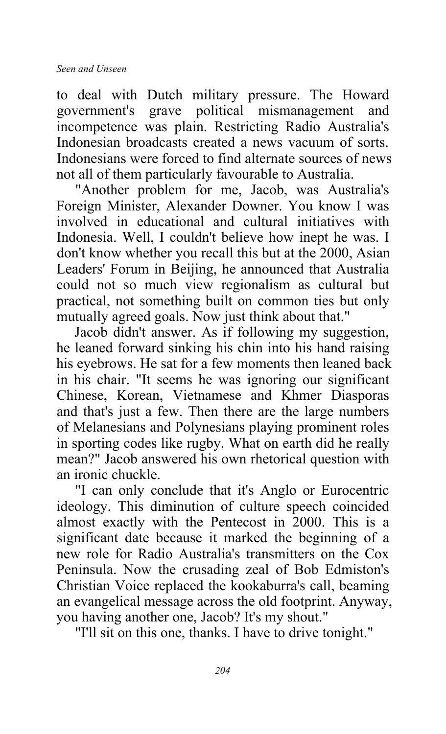to deal with Dutch military pressure. The Howard<br>government's grave political mismanagement and government's grave political mismanagement and incompetence was plain. Restricting Radio Australia's Indonesian broadcasts created a news vacuum of sorts. Indonesians were forced to find alternate sources of news not all of them particularly favourable to Australia.

"Another problem for me, Jacob, was Australia's Foreign Minister, Alexander Downer. You know I was involved in educational and cultural initiatives with Indonesia. Well, I couldn't believe how inept he was. I don't know whether you recall this but at the 2000, Asian Leaders' Forum in Beijing, he announced that Australia could not so much view regionalism as cultural but practical, not something built on common ties but only mutually agreed goals. Now just think about that."

Jacob didn't answer. As if following my suggestion, he leaned forward sinking his chin into his hand raising his eyebrows. He sat for a few moments then leaned back in his chair. "It seems he was ignoring our significant Chinese, Korean, Vietnamese and Khmer Diasporas and that's just a few. Then there are the large numbers of Melanesians and Polynesians playing prominent roles in sporting codes like rugby. What on earth did he really mean?" Jacob answered his own rhetorical question with an ironic chuckle.

"I can only conclude that it's Anglo or Eurocentric ideology. This diminution of culture speech coincided almost exactly with the Pentecost in 2000. This is a significant date because it marked the beginning of a new role for Radio Australia's transmitters on the Cox Peninsula. Now the crusading zeal of Bob Edmiston's Christian Voice replaced the kookaburra's call, beaming an evangelical message across the old footprint. Anyway, you having another one, Jacob? It's my shout."

"I'll sit on this one, thanks. I have to drive tonight."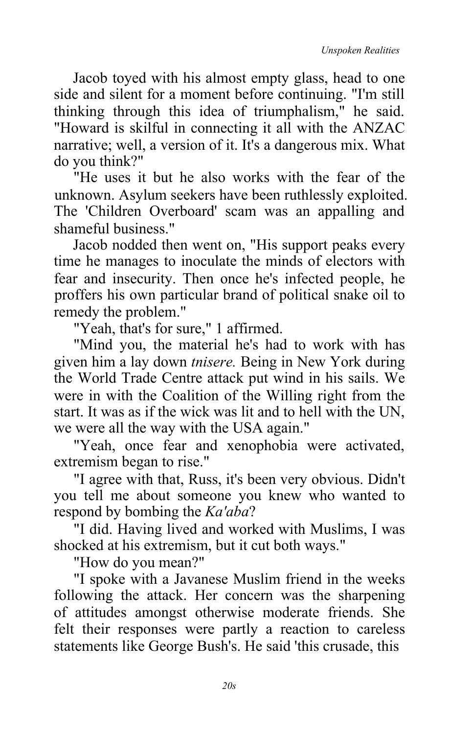Jacob toyed with his almost empty glass, head to one side and silent for a moment before continuing. "I'm still thinking through this idea of triumphalism," he said. "Howard is skilful in connecting it all with the ANZAC narrative; well, a version of it. It's a dangerous mix. What do you think?"

"He uses it but he also works with the fear of the unknown. Asylum seekers have been ruthlessly exploited. The 'Children Overboard' scam was an appalling and shameful business."

Jacob nodded then went on, "His support peaks every time he manages to inoculate the minds of electors with fear and insecurity. Then once he's infected people, he proffers his own particular brand of political snake oil to remedy the problem."

"Yeah, that's for sure," 1 affirmed.

"Mind you, the material he's had to work with has given him a lay down *tnisere.* Being in New York during the World Trade Centre attack put wind in his sails. We were in with the Coalition of the Willing right from the start. It was as if the wick was lit and to hell with the UN, we were all the way with the USA again."

"Yeah, once fear and xenophobia were activated, extremism began to rise."

"I agree with that, Russ, it's been very obvious. Didn't you tell me about someone you knew who wanted to respond by bombing the *Ka'aba*?

"I did. Having lived and worked with Muslims, I was shocked at his extremism, but it cut both ways."

"How do you mean?"

"I spoke with a Javanese Muslim friend in the weeks following the attack. Her concern was the sharpening of attitudes amongst otherwise moderate friends. She felt their responses were partly a reaction to careless statements like George Bush's. He said 'this crusade, this